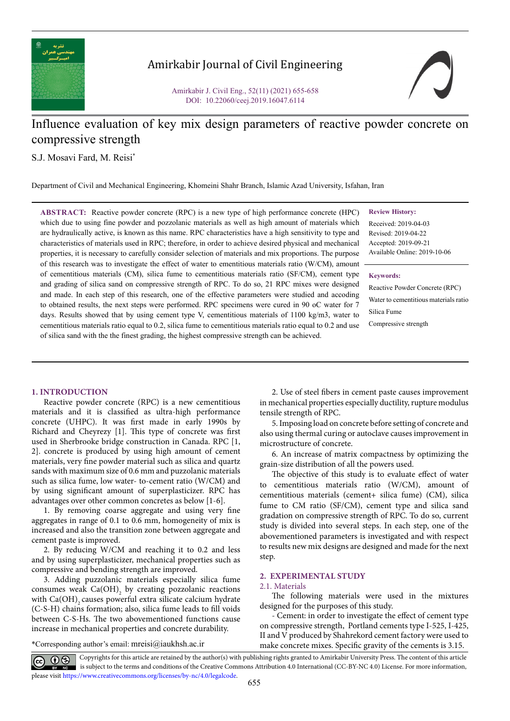

# Amirkabir Journal of Civil Engineering

Amirkabir J. Civil Eng., 52(11) (2021) 655-658 DOI: 10.22060/ceej.2019.16047.6114

# Influence evaluation of key mix design parameters of reactive powder concrete on compressive strength

S.J. Mosavi Fard, M. Reisi\*

Department of Civil and Mechanical Engineering, Khomeini Shahr Branch, Islamic Azad University, Isfahan, Iran

**ABSTRACT:** Reactive powder concrete (RPC) is a new type of high performance concrete (HPC) which due to using fine powder and pozzolanic materials as well as high amount of materials which are hydraulically active, is known as this name. RPC characteristics have a high sensitivity to type and characteristics of materials used in RPC; therefore, in order to achieve desired physical and mechanical properties, it is necessary to carefully consider selection of materials and mix proportions. The purpose of this research was to investigate the effect of water to ementitious materials ratio (W/CM), amount of cementitious materials (CM), silica fume to cementitious materials ratio (SF/CM), cement type and grading of silica sand on compressive strength of RPC. To do so, 21 RPC mixes were designed and made. In each step of this research, one of the effective parameters were studied and accoding to obtained results, the next steps were performed. RPC specimens were cured in 90 oC water for 7 days. Results showed that by using cement type V, cementitious materials of 1100 kg/m3, water to cementitious materials ratio equal to 0.2, silica fume to cementitious materials ratio equal to 0.2 and use of silica sand with the the finest grading, the highest compressive strength can be achieved.

**Review History:**

Received: 2019-04-03 Revised: 2019-04-22 Accepted: 2019-09-21 Available Online: 2019-10-06

#### **Keywords:**

Reactive Powder Concrete (RPC) Water to cementitious materials ratio Silica Fume

Compressive strength

### **1. INTRODUCTION**

Reactive powder concrete (RPC) is a new cementitious materials and it is classified as ultra-high performance concrete (UHPC). It was first made in early 1990s by Richard and Cheyrezy [1]. This type of concrete was first used in Sherbrooke bridge construction in Canada. RPC [1, 2]. concrete is produced by using high amount of cement materials, very fine powder material such as silica and quartz sands with maximum size of 0.6 mm and puzzolanic materials such as silica fume, low water- to-cement ratio (W/CM) and by using significant amount of superplasticizer. RPC has advantages over other common concretes as below [1-6].

1. By removing coarse aggregate and using very fine aggregates in range of 0.1 to 0.6 mm, homogeneity of mix is increased and also the transition zone between aggregate and cement paste is improved.

2. By reducing W/CM and reaching it to 0.2 and less and by using superplasticizer, mechanical properties such as compressive and bending strength are improved.

3. Adding puzzolanic materials especially silica fume consumes weak  $Ca(OH)$ <sub>2</sub> by creating pozzolanic reactions with  $Ca(OH)$ , causes powerful extra silicate calcium hydrate (C-S-H) chains formation; also, silica fume leads to fill voids between C-S-Hs. The two abovementioned functions cause increase in mechanical properties and concrete durability.

\*Corresponding author's email: mreisi@iaukhsh.ac.ir

2. Use of steel fibers in cement paste causes improvement in mechanical properties especially ductility, rupture modulus tensile strength of RPC.

5. Imposing load on concrete before setting of concrete and also using thermal curing or autoclave causes improvement in microstructure of concrete.

6. An increase of matrix compactness by optimizing the grain-size distribution of all the powers used.

The objective of this study is to evaluate effect of water to cementitious materials ratio (W/CM), amount of cementitious materials (cement+ silica fume) (CM), silica fume to CM ratio (SF/CM), cement type and silica sand gradation on compressive strength of RPC. To do so, current study is divided into several steps. In each step, one of the abovementioned parameters is investigated and with respect to results new mix designs are designed and made for the next step.

# **2. EXPERIMENTAL STUDY**

#### 2.1. Materials

The following materials were used in the mixtures designed for the purposes of this study.

- Cement: in order to investigate the effect of cement type on compressive strength, Portland cements type I-525, I-425, II and V produced by Shahrekord cement factory were used to make concrete mixes. Specific gravity of the cements is 3.15.

Copyrights for this article are retained by the author(s) with publishing rights granted to Amirkabir University Press. The content of this article is subject to the terms and conditions of the Creative Commons Attribution 4.0 International (CC-BY-NC 4.0) License. For more information, please visit https://www.creativecommons.org/licenses/by-nc/4.0/legalcode.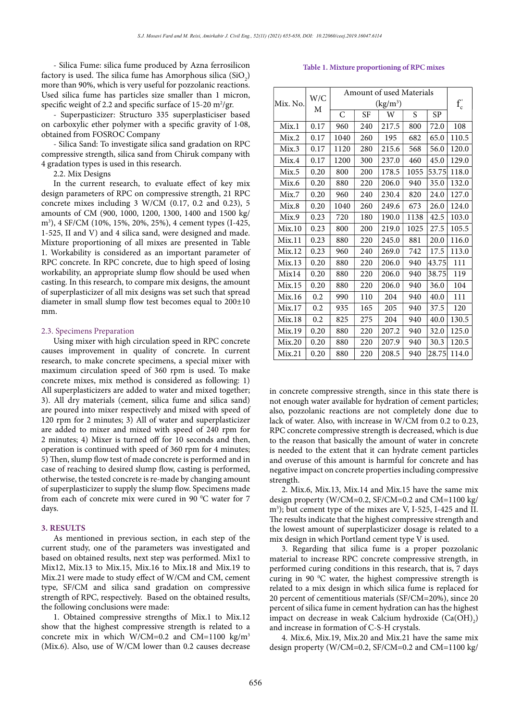- Silica Fume: silica fume produced by Azna ferrosilicon factory is used. The silica fume has Amorphous silica  $(SiO_2)$ more than 90%, which is very useful for pozzolanic reactions. Used silica fume has particles size smaller than 1 micron, specific weight of 2.2 and specific surface of 15-20 m<sup>2</sup>/gr.

- Superpasticizer: Structuro 335 superplasticiser based on carboxylic ether polymer with a specific gravity of 1·08, obtained from FOSROC Company

- Silica Sand: To investigate silica sand gradation on RPC compressive strength, silica sand from Chiruk company with 4 gradation types is used in this research.

2.2. Mix Designs

In the current research, to evaluate effect of key mix design parameters of RPC on compressive strength, 21 RPC concrete mixes including 3 W/CM (0.17, 0.2 and 0.23), 5 amounts of CM (900, 1000, 1200, 1300, 1400 and 1500 kg/ m3 ), 4 SF/CM (10%, 15%, 20%, 25%), 4 cement types (I-425, 1-525, II and V) and 4 silica sand, were designed and made. Mixture proportioning of all mixes are presented in Table 1. Workability is considered as an important parameter of RPC concrete. In RPC concrete, due to high speed of losing workability, an appropriate slump flow should be used when casting. In this research, to compare mix designs, the amount of superplasticizer of all mix designs was set such that spread diameter in small slump flow test becomes equal to 200±10 mm.

#### 2.3. Specimens Preparation

Using mixer with high circulation speed in RPC concrete causes improvement in quality of concrete. In current research, to make concrete specimens, a special mixer with maximum circulation speed of 360 rpm is used. To make concrete mixes, mix method is considered as following: 1) All superplasticizers are added to water and mixed together; 3). All dry materials (cement, silica fume and silica sand) are poured into mixer respectively and mixed with speed of 120 rpm for 2 minutes; 3) All of water and superplasticizer are added to mixer and mixed with speed of 240 rpm for 2 minutes; 4) Mixer is turned off for 10 seconds and then, operation is continued with speed of 360 rpm for 4 minutes; 5) Then, slump flow test of made concrete is performed and in case of reaching to desired slump flow, casting is performed, otherwise, the tested concrete is re-made by changing amount of superplasticizer to supply the slump flow. Specimens made from each of concrete mix were cured in 90 $\,^{\circ}$ C water for 7 days.

#### **3. RESULTS**

As mentioned in previous section, in each step of the current study, one of the parameters was investigated and based on obtained results, next step was performed. Mix1 to Mix12, Mix.13 to Mix.15, Mix.16 to Mix.18 and Mix.19 to Mix.21 were made to study effect of W/CM and CM, cement type, SF/CM and silica sand gradation on compressive strength of RPC, respectively. Based on the obtained results, the following conclusions were made:

1. Obtained compressive strengths of Mix.1 to Mix.12 show that the highest compressive strength is related to a concrete mix in which W/CM=0.2 and CM=1100 kg/m<sup>3</sup> (Mix.6). Also, use of W/CM lower than 0.2 causes decrease

Table 1. Mixture proportioning of RPC mixes **Table 1. Mixture proportioning of RPC mixes**

| Mix. No. | W/C<br>М | Amount of used Materials |           |       |      |       |        |
|----------|----------|--------------------------|-----------|-------|------|-------|--------|
|          |          | $(kg/m^3)$               |           |       |      |       | $f_c'$ |
|          |          | C                        | <b>SF</b> | W     | S    | SP    |        |
| Mix.1    | 0.17     | 960                      | 240       | 217.5 | 800  | 72.0  | 108    |
| Mix.2    | 0.17     | 1040                     | 260       | 195   | 682  | 65.0  | 110.5  |
| Mix.3    | 0.17     | 1120                     | 280       | 215.6 | 568  | 56.0  | 120.0  |
| Mix.4    | 0.17     | 1200                     | 300       | 237.0 | 460  | 45.0  | 129.0  |
| Mix.5    | 0.20     | 800                      | 200       | 178.5 | 1055 | 53.75 | 118.0  |
| Mix.6    | 0.20     | 880                      | 220       | 206.0 | 940  | 35.0  | 132.0  |
| Mix.7    | 0.20     | 960                      | 240       | 230.4 | 820  | 24.0  | 127.0  |
| Mix.8    | 0.20     | 1040                     | 260       | 249.6 | 673  | 26.0  | 124.0  |
| Mix.9    | 0.23     | 720                      | 180       | 190.0 | 1138 | 42.5  | 103.0  |
| Mix.10   | 0.23     | 800                      | 200       | 219.0 | 1025 | 27.5  | 105.5  |
| Mix.11   | 0.23     | 880                      | 220       | 245.0 | 881  | 20.0  | 116.0  |
| Mix.12   | 0.23     | 960                      | 240       | 269.0 | 742  | 17.5  | 113.0  |
| Mix.13   | 0.20     | 880                      | 220       | 206.0 | 940  | 43.75 | 111    |
| Mix14    | 0.20     | 880                      | 220       | 206.0 | 940  | 38.75 | 119    |
| Mix.15   | 0.20     | 880                      | 220       | 206.0 | 940  | 36.0  | 104    |
| Mix.16   | 0.2      | 990                      | 110       | 204   | 940  | 40.0  | 111    |
| Mix.17   | 0.2      | 935                      | 165       | 205   | 940  | 37.5  | 120    |
| Mix.18   | 0.2      | 825                      | 275       | 204   | 940  | 40.0  | 130.5  |
| Mix.19   | 0.20     | 880                      | 220       | 207.2 | 940  | 32.0  | 125.0  |
| Mix.20   | 0.20     | 880                      | 220       | 207.9 | 940  | 30.3  | 120.5  |
| Mix.21   | 0.20     | 880                      | 220       | 208.5 | 940  | 28.75 | 114.0  |

in concrete compressive strength, since in this state there is not enough water available for hydration of cement particles; also, pozzolanic reactions are not completely done due to lack of water. Also, with increase in W/CM from 0.2 to 0.23, RPC concrete compressive strength is decreased, which is due to the reason that basically the amount of water in concrete is needed to the extent that it can hydrate cement particles and overuse of this amount is harmful for concrete and has negative impact on concrete properties including compressive strength.

2. Mix.6, Mix.13, Mix.14 and Mix.15 have the same mix design property (W/CM=0.2, SF/CM=0.2 and CM=1100 kg/ m3 ); but cement type of the mixes are V, I-525, I-425 and II. The results indicate that the highest compressive strength and the lowest amount of superplasticizer dosage is related to a mix design in which Portland cement type V is used.

3. Regarding that silica fume is a proper pozzolanic material to increase RPC concrete compressive strength, in performed curing conditions in this research, that is, 7 days curing in 90 $\,^{\circ}$ C water, the highest compressive strength is related to a mix design in which silica fume is replaced for 20 percent of cementitious materials (SF/CM=20%), since 20 percent of silica fume in cement hydration can has the highest impact on decrease in weak Calcium hydroxide  $(Ca(OH)_2)$ and increase in formation of C-S-H crystals.

4. Mix.6, Mix.19, Mix.20 and Mix.21 have the same mix design property (W/CM=0.2, SF/CM=0.2 and CM=1100 kg/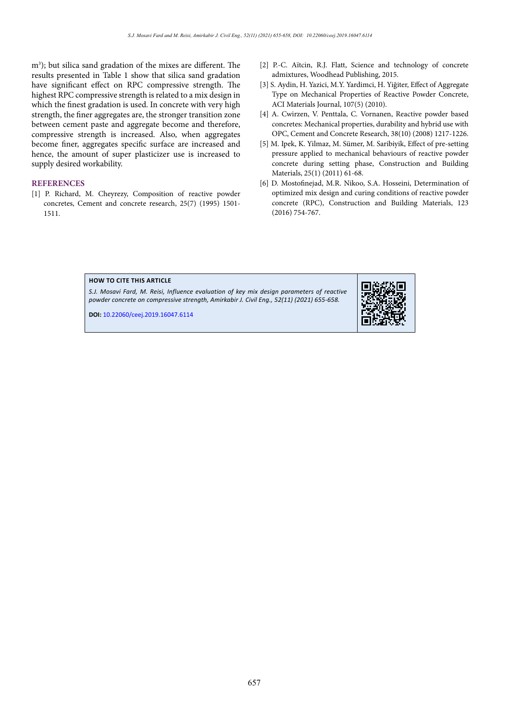m3 ); but silica sand gradation of the mixes are different. The results presented in Table 1 show that silica sand gradation have significant effect on RPC compressive strength. The highest RPC compressive strength is related to a mix design in which the finest gradation is used. In concrete with very high strength, the finer aggregates are, the stronger transition zone between cement paste and aggregate become and therefore, compressive strength is increased. Also, when aggregates become finer, aggregates specific surface are increased and hence, the amount of super plasticizer use is increased to supply desired workability.

# **REFERENCES**

[1] P. Richard, M. Cheyrezy, Composition of reactive powder concretes, Cement and concrete research, 25(7) (1995) 1501- 1511.

- [2] P.-C. Aïtcin, R.J. Flatt, Science and technology of concrete admixtures, Woodhead Publishing, 2015.
- [3] S. Aydin, H. Yazici, M.Y. Yardimci, H. Yiğiter, Effect of Aggregate Type on Mechanical Properties of Reactive Powder Concrete, ACI Materials Journal, 107(5) (2010).
- [4] A. Cwirzen, V. Penttala, C. Vornanen, Reactive powder based concretes: Mechanical properties, durability and hybrid use with OPC, Cement and Concrete Research, 38(10) (2008) 1217-1226.
- [5] M. Ipek, K. Yilmaz, M. Sümer, M. Saribiyik, Effect of pre-setting pressure applied to mechanical behaviours of reactive powder concrete during setting phase, Construction and Building Materials, 25(1) (2011) 61-68.
- [6] D. Mostofinejad, M.R. Nikoo, S.A. Hosseini, Determination of optimized mix design and curing conditions of reactive powder concrete (RPC), Construction and Building Materials, 123 (2016) 754-767.

#### **HOW TO CITE THIS ARTICLE**

*S.J. Mosavi Fard, M. Reisi, Influence evaluation of key mix design parameters of reactive powder concrete on compressive strength, Amirkabir J. Civil Eng., 52(11) (2021) 655-658.*

**DOI:** 10.22060/ceej.2019.16047.6114